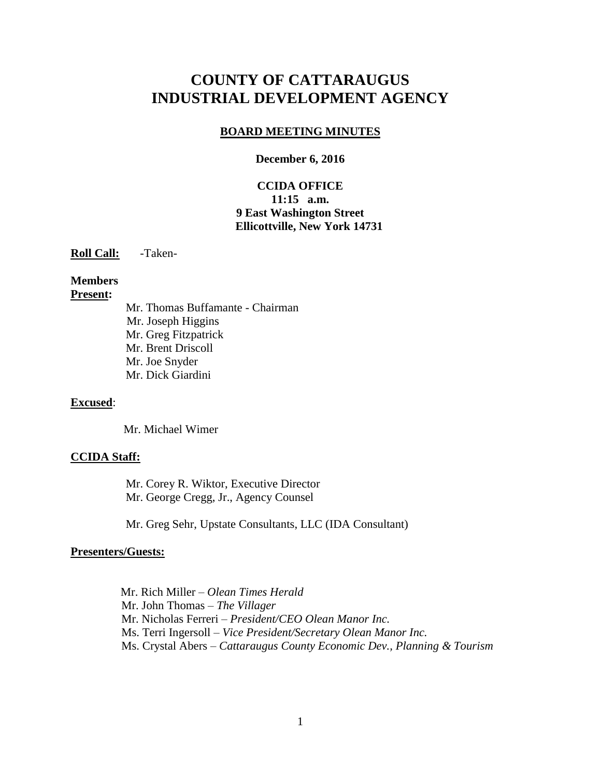# **COUNTY OF CATTARAUGUS INDUSTRIAL DEVELOPMENT AGENCY**

#### **BOARD MEETING MINUTES**

#### **December 6, 2016**

### **CCIDA OFFICE 11:15 a.m. 9 East Washington Street Ellicottville, New York 14731**

**Roll Call:** -Taken-

### **Members Present:**

Mr. Thomas Buffamante - Chairman Mr. Joseph Higgins Mr. Greg Fitzpatrick Mr. Brent Driscoll Mr. Joe Snyder Mr. Dick Giardini

#### **Excused**:

Mr. Michael Wimer

#### **CCIDA Staff:**

Mr. Corey R. Wiktor, Executive Director Mr. George Cregg, Jr., Agency Counsel

Mr. Greg Sehr, Upstate Consultants, LLC (IDA Consultant)

#### **Presenters/Guests:**

 Mr. Rich Miller – *Olean Times Herald* Mr. John Thomas – *The Villager* Mr. Nicholas Ferreri – *President/CEO Olean Manor Inc.* Ms. Terri Ingersoll – *Vice President/Secretary Olean Manor Inc.* Ms. Crystal Abers – *Cattaraugus County Economic Dev., Planning & Tourism*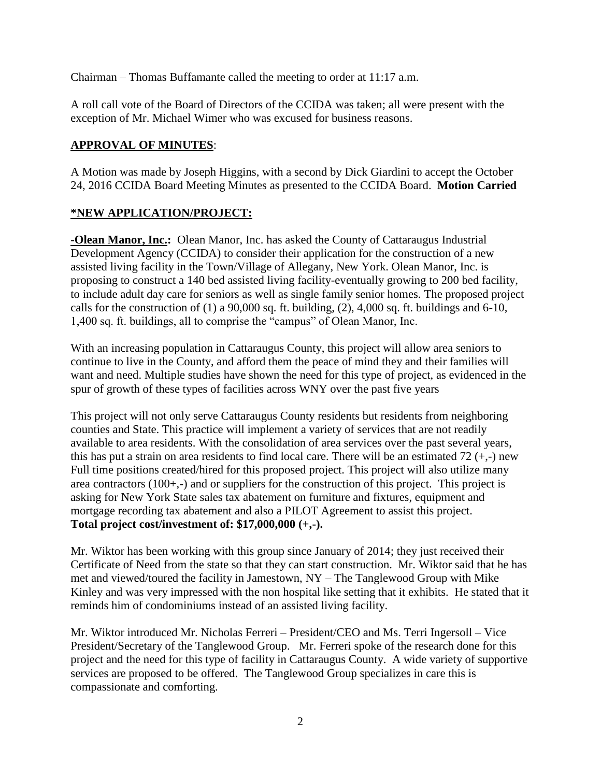Chairman – Thomas Buffamante called the meeting to order at 11:17 a.m.

A roll call vote of the Board of Directors of the CCIDA was taken; all were present with the exception of Mr. Michael Wimer who was excused for business reasons.

### **APPROVAL OF MINUTES**:

A Motion was made by Joseph Higgins, with a second by Dick Giardini to accept the October 24, 2016 CCIDA Board Meeting Minutes as presented to the CCIDA Board. **Motion Carried**

# **\*NEW APPLICATION/PROJECT:**

**-Olean Manor, Inc.:** Olean Manor, Inc. has asked the County of Cattaraugus Industrial Development Agency (CCIDA) to consider their application for the construction of a new assisted living facility in the Town/Village of Allegany, New York. Olean Manor, Inc. is proposing to construct a 140 bed assisted living facility-eventually growing to 200 bed facility, to include adult day care for seniors as well as single family senior homes. The proposed project calls for the construction of  $(1)$  a 90,000 sq. ft. building,  $(2)$ , 4,000 sq. ft. buildings and 6-10, 1,400 sq. ft. buildings, all to comprise the "campus" of Olean Manor, Inc.

With an increasing population in Cattaraugus County, this project will allow area seniors to continue to live in the County, and afford them the peace of mind they and their families will want and need. Multiple studies have shown the need for this type of project, as evidenced in the spur of growth of these types of facilities across WNY over the past five years

This project will not only serve Cattaraugus County residents but residents from neighboring counties and State. This practice will implement a variety of services that are not readily available to area residents. With the consolidation of area services over the past several years, this has put a strain on area residents to find local care. There will be an estimated  $72 (+,.)$  new Full time positions created/hired for this proposed project. This project will also utilize many area contractors (100+,-) and or suppliers for the construction of this project. This project is asking for New York State sales tax abatement on furniture and fixtures, equipment and mortgage recording tax abatement and also a PILOT Agreement to assist this project. **Total project cost/investment of: \$17,000,000 (+,-).**

Mr. Wiktor has been working with this group since January of 2014; they just received their Certificate of Need from the state so that they can start construction. Mr. Wiktor said that he has met and viewed/toured the facility in Jamestown, NY – The Tanglewood Group with Mike Kinley and was very impressed with the non hospital like setting that it exhibits. He stated that it reminds him of condominiums instead of an assisted living facility.

Mr. Wiktor introduced Mr. Nicholas Ferreri – President/CEO and Ms. Terri Ingersoll – Vice President/Secretary of the Tanglewood Group. Mr. Ferreri spoke of the research done for this project and the need for this type of facility in Cattaraugus County. A wide variety of supportive services are proposed to be offered. The Tanglewood Group specializes in care this is compassionate and comforting.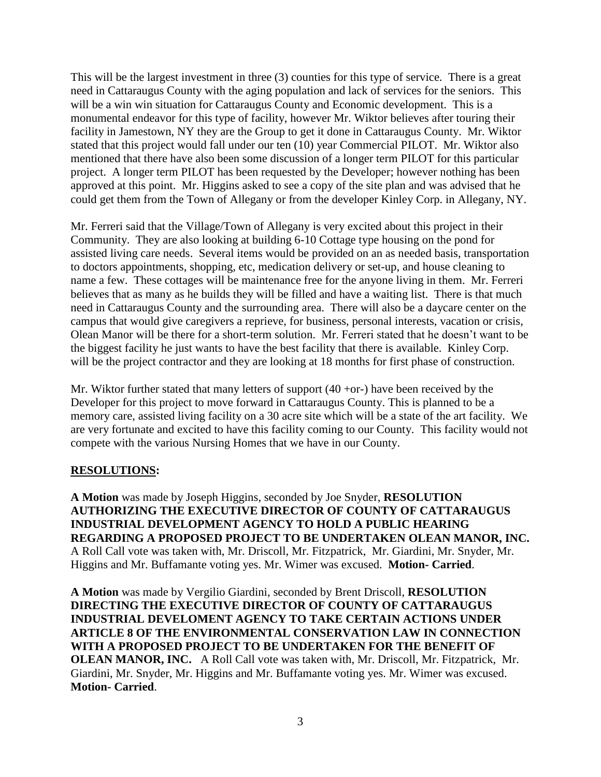This will be the largest investment in three (3) counties for this type of service. There is a great need in Cattaraugus County with the aging population and lack of services for the seniors. This will be a win win situation for Cattaraugus County and Economic development. This is a monumental endeavor for this type of facility, however Mr. Wiktor believes after touring their facility in Jamestown, NY they are the Group to get it done in Cattaraugus County. Mr. Wiktor stated that this project would fall under our ten (10) year Commercial PILOT. Mr. Wiktor also mentioned that there have also been some discussion of a longer term PILOT for this particular project. A longer term PILOT has been requested by the Developer; however nothing has been approved at this point. Mr. Higgins asked to see a copy of the site plan and was advised that he could get them from the Town of Allegany or from the developer Kinley Corp. in Allegany, NY.

Mr. Ferreri said that the Village/Town of Allegany is very excited about this project in their Community. They are also looking at building 6-10 Cottage type housing on the pond for assisted living care needs. Several items would be provided on an as needed basis, transportation to doctors appointments, shopping, etc, medication delivery or set-up, and house cleaning to name a few. These cottages will be maintenance free for the anyone living in them. Mr. Ferreri believes that as many as he builds they will be filled and have a waiting list. There is that much need in Cattaraugus County and the surrounding area. There will also be a daycare center on the campus that would give caregivers a reprieve, for business, personal interests, vacation or crisis, Olean Manor will be there for a short-term solution. Mr. Ferreri stated that he doesn't want to be the biggest facility he just wants to have the best facility that there is available. Kinley Corp. will be the project contractor and they are looking at 18 months for first phase of construction.

Mr. Wiktor further stated that many letters of support  $(40 + or)$  have been received by the Developer for this project to move forward in Cattaraugus County. This is planned to be a memory care, assisted living facility on a 30 acre site which will be a state of the art facility. We are very fortunate and excited to have this facility coming to our County. This facility would not compete with the various Nursing Homes that we have in our County.

### **RESOLUTIONS:**

**A Motion** was made by Joseph Higgins, seconded by Joe Snyder, **RESOLUTION AUTHORIZING THE EXECUTIVE DIRECTOR OF COUNTY OF CATTARAUGUS INDUSTRIAL DEVELOPMENT AGENCY TO HOLD A PUBLIC HEARING REGARDING A PROPOSED PROJECT TO BE UNDERTAKEN OLEAN MANOR, INC.**  A Roll Call vote was taken with, Mr. Driscoll, Mr. Fitzpatrick, Mr. Giardini, Mr. Snyder, Mr. Higgins and Mr. Buffamante voting yes. Mr. Wimer was excused. **Motion- Carried**.

**A Motion** was made by Vergilio Giardini, seconded by Brent Driscoll, **RESOLUTION DIRECTING THE EXECUTIVE DIRECTOR OF COUNTY OF CATTARAUGUS INDUSTRIAL DEVELOMENT AGENCY TO TAKE CERTAIN ACTIONS UNDER ARTICLE 8 OF THE ENVIRONMENTAL CONSERVATION LAW IN CONNECTION WITH A PROPOSED PROJECT TO BE UNDERTAKEN FOR THE BENEFIT OF OLEAN MANOR, INC.** A Roll Call vote was taken with, Mr. Driscoll, Mr. Fitzpatrick, Mr. Giardini, Mr. Snyder, Mr. Higgins and Mr. Buffamante voting yes. Mr. Wimer was excused. **Motion- Carried**.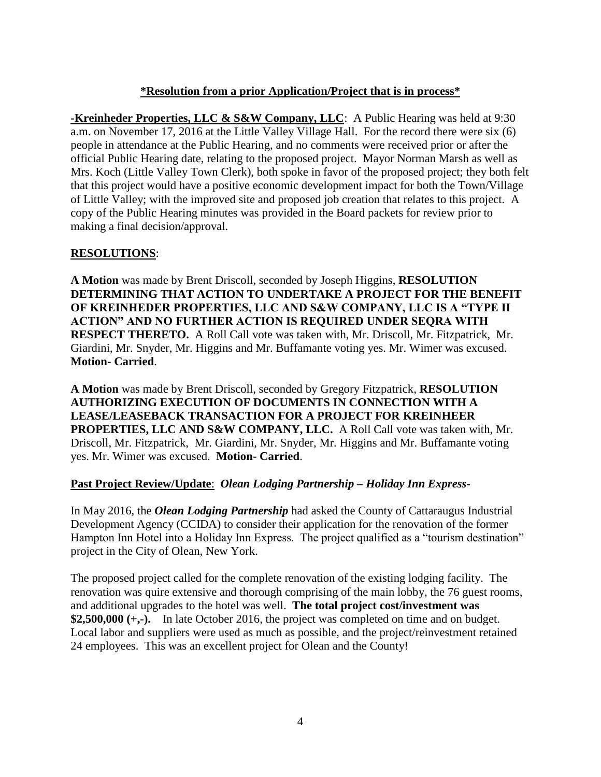# **\*Resolution from a prior Application/Project that is in process\***

**-Kreinheder Properties, LLC & S&W Company, LLC**: A Public Hearing was held at 9:30 a.m. on November 17, 2016 at the Little Valley Village Hall. For the record there were six (6) people in attendance at the Public Hearing, and no comments were received prior or after the official Public Hearing date, relating to the proposed project. Mayor Norman Marsh as well as Mrs. Koch (Little Valley Town Clerk), both spoke in favor of the proposed project; they both felt that this project would have a positive economic development impact for both the Town/Village of Little Valley; with the improved site and proposed job creation that relates to this project. A copy of the Public Hearing minutes was provided in the Board packets for review prior to making a final decision/approval.

# **RESOLUTIONS**:

**A Motion** was made by Brent Driscoll, seconded by Joseph Higgins, **RESOLUTION DETERMINING THAT ACTION TO UNDERTAKE A PROJECT FOR THE BENEFIT OF KREINHEDER PROPERTIES, LLC AND S&W COMPANY, LLC IS A "TYPE II ACTION" AND NO FURTHER ACTION IS REQUIRED UNDER SEQRA WITH RESPECT THERETO.** A Roll Call vote was taken with, Mr. Driscoll, Mr. Fitzpatrick, Mr. Giardini, Mr. Snyder, Mr. Higgins and Mr. Buffamante voting yes. Mr. Wimer was excused. **Motion- Carried**.

**A Motion** was made by Brent Driscoll, seconded by Gregory Fitzpatrick, **RESOLUTION AUTHORIZING EXECUTION OF DOCUMENTS IN CONNECTION WITH A LEASE/LEASEBACK TRANSACTION FOR A PROJECT FOR KREINHEER PROPERTIES, LLC AND S&W COMPANY, LLC.** A Roll Call vote was taken with, Mr. Driscoll, Mr. Fitzpatrick, Mr. Giardini, Mr. Snyder, Mr. Higgins and Mr. Buffamante voting yes. Mr. Wimer was excused. **Motion- Carried**.

### **Past Project Review/Update**: *Olean Lodging Partnership – Holiday Inn Express-*

In May 2016, the *Olean Lodging Partnership* had asked the County of Cattaraugus Industrial Development Agency (CCIDA) to consider their application for the renovation of the former Hampton Inn Hotel into a Holiday Inn Express. The project qualified as a "tourism destination" project in the City of Olean, New York.

The proposed project called for the complete renovation of the existing lodging facility. The renovation was quire extensive and thorough comprising of the main lobby, the 76 guest rooms, and additional upgrades to the hotel was well. **The total project cost/investment was \$2,500,000 (+,-).** In late October 2016, the project was completed on time and on budget. Local labor and suppliers were used as much as possible, and the project/reinvestment retained 24 employees. This was an excellent project for Olean and the County!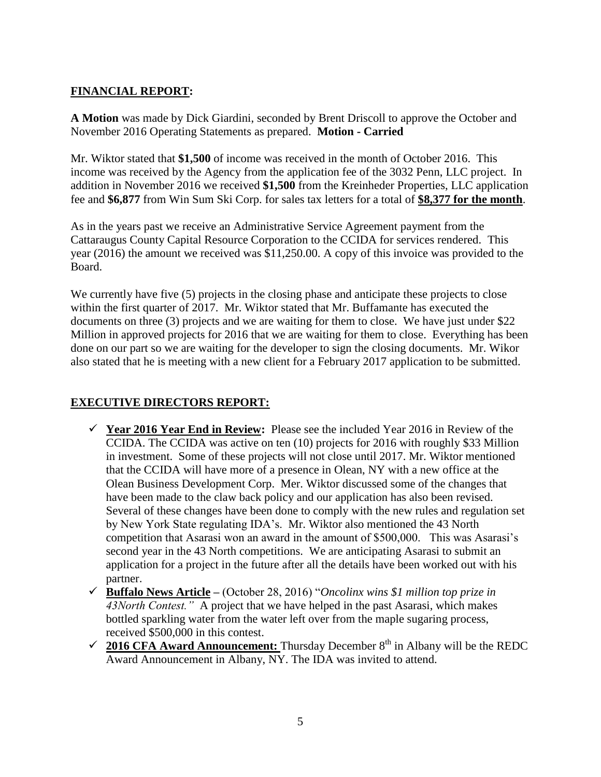# **FINANCIAL REPORT:**

**A Motion** was made by Dick Giardini, seconded by Brent Driscoll to approve the October and November 2016 Operating Statements as prepared. **Motion - Carried**

Mr. Wiktor stated that **\$1,500** of income was received in the month of October 2016. This income was received by the Agency from the application fee of the 3032 Penn, LLC project. In addition in November 2016 we received **\$1,500** from the Kreinheder Properties, LLC application fee and **\$6,877** from Win Sum Ski Corp. for sales tax letters for a total of **\$8,377 for the month**.

As in the years past we receive an Administrative Service Agreement payment from the Cattaraugus County Capital Resource Corporation to the CCIDA for services rendered. This year (2016) the amount we received was \$11,250.00. A copy of this invoice was provided to the Board.

We currently have five (5) projects in the closing phase and anticipate these projects to close within the first quarter of 2017. Mr. Wiktor stated that Mr. Buffamante has executed the documents on three (3) projects and we are waiting for them to close. We have just under \$22 Million in approved projects for 2016 that we are waiting for them to close. Everything has been done on our part so we are waiting for the developer to sign the closing documents. Mr. Wikor also stated that he is meeting with a new client for a February 2017 application to be submitted.

# **EXECUTIVE DIRECTORS REPORT:**

- **Year 2016 Year End in Review:** Please see the included Year 2016 in Review of the CCIDA. The CCIDA was active on ten (10) projects for 2016 with roughly \$33 Million in investment. Some of these projects will not close until 2017. Mr. Wiktor mentioned that the CCIDA will have more of a presence in Olean, NY with a new office at the Olean Business Development Corp. Mer. Wiktor discussed some of the changes that have been made to the claw back policy and our application has also been revised. Several of these changes have been done to comply with the new rules and regulation set by New York State regulating IDA's. Mr. Wiktor also mentioned the 43 North competition that Asarasi won an award in the amount of \$500,000. This was Asarasi's second year in the 43 North competitions. We are anticipating Asarasi to submit an application for a project in the future after all the details have been worked out with his partner.
- **Buffalo News Article –** (October 28, 2016) "*Oncolinx wins \$1 million top prize in 43North Contest."* A project that we have helped in the past Asarasi, which makes bottled sparkling water from the water left over from the maple sugaring process, received \$500,000 in this contest.
- $\checkmark$  2016 CFA Award Announcement: Thursday December  $8<sup>th</sup>$  in Albany will be the REDC Award Announcement in Albany, NY. The IDA was invited to attend.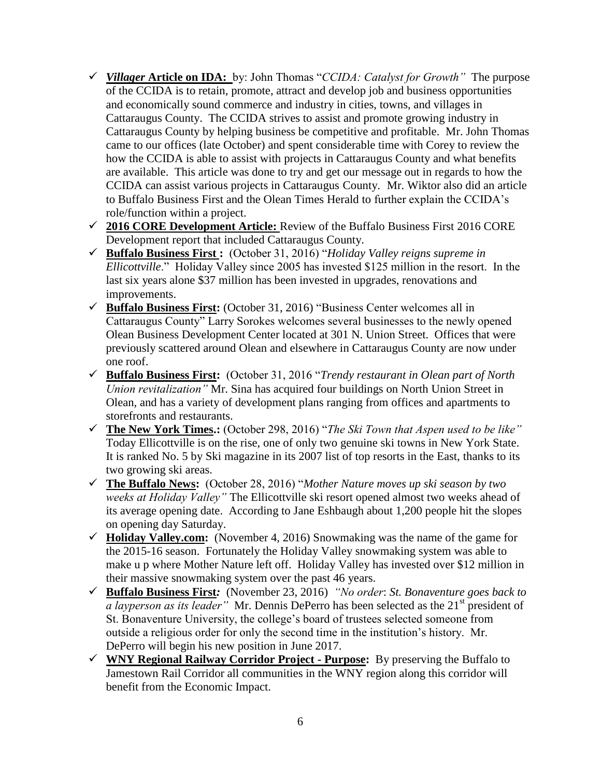- *Villager* **Article on IDA:** by: John Thomas "*CCIDA: Catalyst for Growth"* The purpose of the CCIDA is to retain, promote, attract and develop job and business opportunities and economically sound commerce and industry in cities, towns, and villages in Cattaraugus County. The CCIDA strives to assist and promote growing industry in Cattaraugus County by helping business be competitive and profitable. Mr. John Thomas came to our offices (late October) and spent considerable time with Corey to review the how the CCIDA is able to assist with projects in Cattaraugus County and what benefits are available. This article was done to try and get our message out in regards to how the CCIDA can assist various projects in Cattaraugus County. Mr. Wiktor also did an article to Buffalo Business First and the Olean Times Herald to further explain the CCIDA's role/function within a project.
- **2016 CORE Development Article:** Review of the Buffalo Business First 2016 CORE Development report that included Cattaraugus County.
- **Buffalo Business First :** (October 31, 2016) "*Holiday Valley reigns supreme in Ellicottville*." Holiday Valley since 2005 has invested \$125 million in the resort. In the last six years alone \$37 million has been invested in upgrades, renovations and improvements.
- **Buffalo Business First:** (October 31, 2016) "Business Center welcomes all in Cattaraugus County" Larry Sorokes welcomes several businesses to the newly opened Olean Business Development Center located at 301 N. Union Street. Offices that were previously scattered around Olean and elsewhere in Cattaraugus County are now under one roof.
- **Buffalo Business First:** (October 31, 2016 "*Trendy restaurant in Olean part of North Union revitalization"* Mr. Sina has acquired four buildings on North Union Street in Olean, and has a variety of development plans ranging from offices and apartments to storefronts and restaurants.
- **The New York Times.:** (October 298, 2016) "*The Ski Town that Aspen used to be like"*  Today Ellicottville is on the rise, one of only two genuine ski towns in New York State. It is ranked No. 5 by Ski magazine in its 2007 list of top resorts in the East, thanks to its two growing ski areas.
- **The Buffalo News:** (October 28, 2016) "*Mother Nature moves up ski season by two weeks at Holiday Valley"* The Ellicottville ski resort opened almost two weeks ahead of its average opening date. According to Jane Eshbaugh about 1,200 people hit the slopes on opening day Saturday.
- **Holiday Valley.com:** (November 4, 2016) Snowmaking was the name of the game for the 2015-16 season. Fortunately the Holiday Valley snowmaking system was able to make u p where Mother Nature left off. Holiday Valley has invested over \$12 million in their massive snowmaking system over the past 46 years.
- **Buffalo Business First***:* (November 23, 2016) *"No order*: *St. Bonaventure goes back to a layperson as its leader*" Mr. Dennis DePerro has been selected as the 21<sup>st</sup> president of St. Bonaventure University, the college's board of trustees selected someone from outside a religious order for only the second time in the institution's history. Mr. DePerro will begin his new position in June 2017.
- **WNY Regional Railway Corridor Project - Purpose:** By preserving the Buffalo to Jamestown Rail Corridor all communities in the WNY region along this corridor will benefit from the Economic Impact.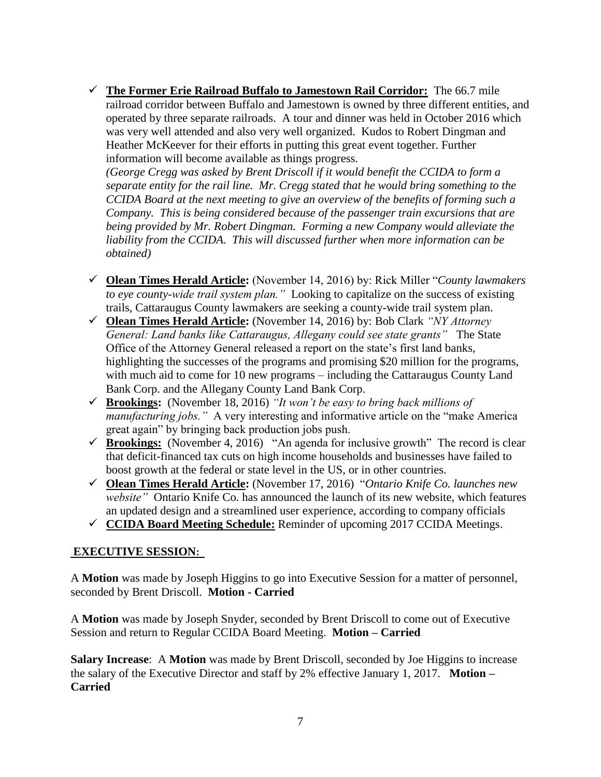**The Former Erie Railroad Buffalo to Jamestown Rail Corridor:** The 66.7 mile railroad corridor between Buffalo and Jamestown is owned by three different entities, and operated by three separate railroads. A tour and dinner was held in October 2016 which was very well attended and also very well organized. Kudos to Robert Dingman and Heather McKeever for their efforts in putting this great event together. Further information will become available as things progress.

*(George Cregg was asked by Brent Driscoll if it would benefit the CCIDA to form a separate entity for the rail line. Mr. Cregg stated that he would bring something to the CCIDA Board at the next meeting to give an overview of the benefits of forming such a Company. This is being considered because of the passenger train excursions that are being provided by Mr. Robert Dingman. Forming a new Company would alleviate the liability from the CCIDA. This will discussed further when more information can be obtained)*

- **Olean Times Herald Article:** (November 14, 2016) by: Rick Miller "*County lawmakers to eye county-wide trail system plan."* Looking to capitalize on the success of existing trails, Cattaraugus County lawmakers are seeking a county-wide trail system plan.
- **Olean Times Herald Article:** (November 14, 2016) by: Bob Clark *"NY Attorney General: Land banks like Cattaraugus, Allegany could see state grants"* The State Office of the Attorney General released a report on the state's first land banks, highlighting the successes of the programs and promising \$20 million for the programs, with much aid to come for 10 new programs – including the Cattaraugus County Land Bank Corp. and the Allegany County Land Bank Corp.
- **Brookings:** (November 18, 2016) *"It won't be easy to bring back millions of manufacturing jobs.*" A very interesting and informative article on the "make America" great again" by bringing back production jobs push.
- **Frookings:** (November 4, 2016) "An agenda for inclusive growth" The record is clear that deficit-financed tax cuts on high income households and businesses have failed to boost growth at the federal or state level in the US, or in other countries.
- **Olean Times Herald Article:** (November 17, 2016) "*Ontario Knife Co. launches new website"* Ontario Knife Co. has announced the launch of its new website, which features an updated design and a streamlined user experience, according to company officials
- **CCIDA Board Meeting Schedule:** Reminder of upcoming 2017 CCIDA Meetings.

# **EXECUTIVE SESSION:**

A **Motion** was made by Joseph Higgins to go into Executive Session for a matter of personnel, seconded by Brent Driscoll. **Motion - Carried**

A **Motion** was made by Joseph Snyder, seconded by Brent Driscoll to come out of Executive Session and return to Regular CCIDA Board Meeting. **Motion – Carried**

**Salary Increase**: A **Motion** was made by Brent Driscoll, seconded by Joe Higgins to increase the salary of the Executive Director and staff by 2% effective January 1, 2017. **Motion – Carried**